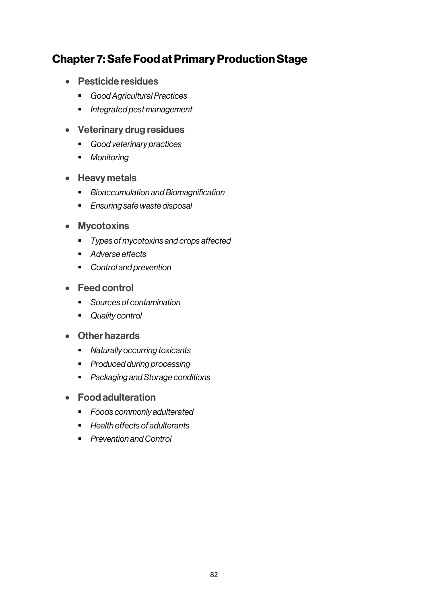# Chapter 7: Safe Food at Primary Production Stage

- Pesticide residues
	- § *Good Agricultural Practices*
	- § *Integrated pest management*
- Veterinary drug residues
	- § *Good veterinary practices*
	- § *Monitoring*
- Heavy metals
	- § *Bioaccumulation and Biomagnification*
	- § *Ensuring safe waste disposal*
- Mycotoxins
	- § *Types of mycotoxins and crops affected*
	- *Adverse effects*
	- § *Control and prevention*
- Feed control
	- § *Sources of contamination*
	- § *Quality control*
- Other hazards
	- § *Naturally occurring toxicants*
	- § *Produced during processing*
	- § *Packaging and Storage conditions*
- Food adulteration
	- § *Foods commonly adulterated*
	- § *Health effects of adulterants*
	- § *Prevention and Control*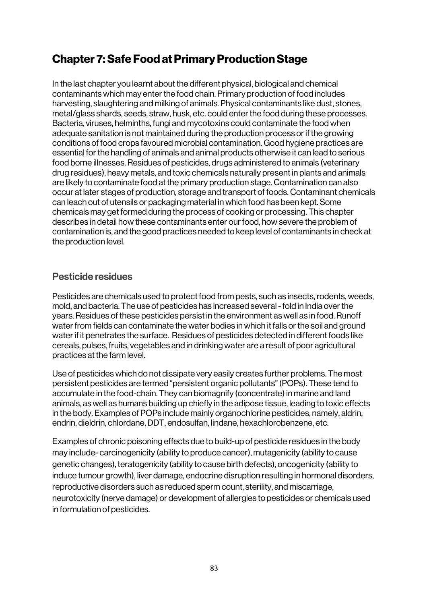# Chapter 7: Safe Food at Primary Production Stage

In the last chapter you learnt about the different physical, biological and chemical contaminants which may enter the food chain. Primary production of food includes harvesting, slaughtering and milking of animals. Physical contaminants like dust, stones, metal/glass shards, seeds, straw, husk, etc. could enter the food during these processes. Bacteria, viruses, helminths, fungi and mycotoxins could contaminate the food when adequate sanitation is not maintained during the production process or if the growing conditions of food crops favoured microbial contamination. Good hygiene practices are essential for the handling of animals and animal products otherwise it can lead to serious food borne illnesses. Residues of pesticides, drugs administered to animals (veterinary drug residues), heavy metals, and toxic chemicals naturally present in plants and animals are likely to contaminate food at the primary production stage. Contamination can also occur at later stages of production, storage and transport of foods. Contaminant chemicals can leach out of utensils or packaging material in which food has been kept. Some chemicals may get formed during the process of cooking or processing. This chapter describes in detail how these contaminants enter our food, how severe the problem of contamination is, and the good practices needed to keep level of contaminants in check at the production level.

# Pesticide residues

Pesticides are chemicals used to protect food from pests, such as insects, rodents, weeds, mold, and bacteria. The use of pesticides has increased several -fold in India over the years. Residues of these pesticides persist in the environment as well as in food. Runoff water from fields can contaminate the water bodies in which it falls or the soil and ground water if it penetrates the surface. Residues of pesticides detected in different foods like cereals, pulses, fruits, vegetables and in drinking water are a result of poor agricultural practices at the farm level.

Use of pesticides which do not dissipate very easily creates further problems. The most persistent pesticides are termed "persistent organic pollutants" (POPs). These tend to accumulate in the food-chain. They can biomagnify (concentrate) in marine and land animals, as well as humans building up chiefly in the adipose tissue, leading to toxic effects in the body. Examples of POPs include mainly organochlorine pesticides, namely, aldrin, endrin, dieldrin, chlordane, DDT, endosulfan, lindane, hexachlorobenzene, etc.

Examples of chronic poisoning effects due to build-up of pesticide residues in the body may include- carcinogenicity (ability to produce cancer), mutagenicity (ability to cause genetic changes), teratogenicity (ability to cause birth defects), oncogenicity (ability to induce tumour growth), liver damage, endocrine disruption resulting in hormonal disorders, reproductive disorders such as reduced sperm count, sterility, and miscarriage, neurotoxicity (nerve damage) or development of allergies to pesticides or chemicals used in formulation of pesticides.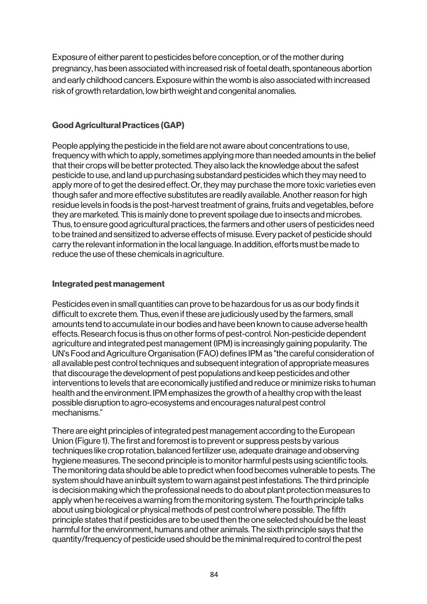Exposure of either parent to pesticides before conception, or of the mother during pregnancy, has been associated with increased risk of foetal death, spontaneous abortion and early childhood cancers. Exposure within the womb is also associated with increased risk of growth retardation, low birth weight and congenital anomalies.

### Good Agricultural Practices (GAP)

People applying the pesticide in the field are not aware about concentrations to use, frequency with which to apply, sometimes applying more than needed amounts in the belief that their crops will be better protected. They also lack the knowledge about the safest pesticide to use, and land up purchasing substandard pesticides which they may need to apply more of to get the desired effect. Or, they may purchase the more toxic varieties even though safer and more effective substitutes are readily available. Another reason for high residue levels in foods is the post-harvest treatment of grains, fruits and vegetables, before they are marketed. This is mainly done to prevent spoilage due to insects and microbes. Thus, to ensure good agricultural practices, the farmers and other users of pesticides need to be trained and sensitized to adverse effects of misuse. Every packet of pesticide should carry the relevant information in the local language. In addition, efforts must be made to reduce the use of these chemicals in agriculture.

### Integrated pest management

Pesticides even in small quantities can prove to be hazardous for us as our body finds it difficult to excrete them. Thus, even if these are judiciously used by the farmers, small amounts tend to accumulate in our bodies and have been known to cause adverse health effects. Research focus is thus on other forms of pest-control. Non-pesticide dependent agriculture and integrated pest management (IPM) is increasingly gaining popularity. The UN's Food and Agriculture Organisation (FAO) defines IPM as "the careful consideration of all available pest control techniques and subsequent integration of appropriate measures that discourage the development of pest populations and keep pesticides and other interventions to levels that are economically justified and reduce or minimize risks to human health and the environment. IPM emphasizes the growth of a healthy crop with the least possible disruption to agro-ecosystems and encourages natural pest control mechanisms."

There are eight principles of integrated pest management according to the European Union (Figure 1). The first and foremost is to prevent or suppress pests by various techniques like crop rotation, balanced fertilizer use, adequate drainage and observing hygiene measures. The second principle is to monitor harmful pests using scientific tools. The monitoring data should be able to predict when food becomes vulnerable to pests. The system should have an inbuilt system to warn against pest infestations. The third principle is decision making which the professional needs to do about plant protection measures to apply when he receives a warning from the monitoring system. The fourth principle talks about using biological or physical methods of pest control where possible. The fifth principle states that if pesticides are to be used then the one selected should be the least harmful for the environment, humans and other animals. The sixth principle says that the quantity/frequency of pesticide used should be the minimal required to control the pest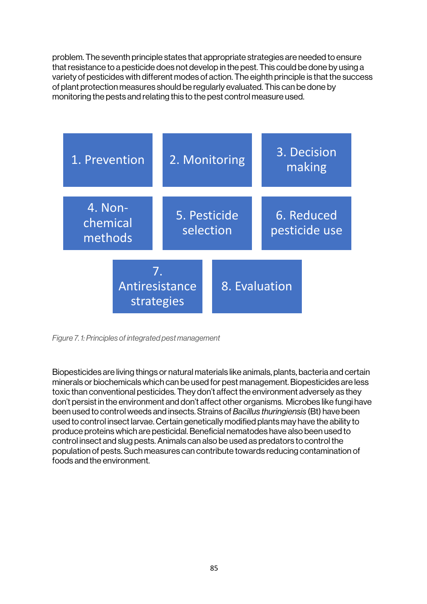problem. The seventh principle states that appropriate strategies are needed to ensure that resistance to a pesticide does not develop in the pest. This could be done by using a variety of pesticides with different modes of action. The eighth principle is that the success of plant protection measures should be regularly evaluated. This can be done by monitoring the pests and relating this to the pest control measure used.



*Figure 7. 1: Principles of integrated pest management*

Biopesticides are living things or natural materials like animals, plants, bacteria and certain minerals or biochemicals which can be used for pest management. Biopesticides are less toxic than conventional pesticides. They don't affect the environment adversely as they don't persist in the environment and don't affect other organisms. Microbes like fungi have been used to control weeds and insects. Strains of *Bacillus thuringiensis* (Bt) have been used to control insect larvae. Certain genetically modified plants may have the ability to produce proteins which are pesticidal. Beneficial nematodes have also been used to control insect and slug pests. Animals can also be used as predators to control the population of pests. Such measures can contribute towards reducing contamination of foods and the environment.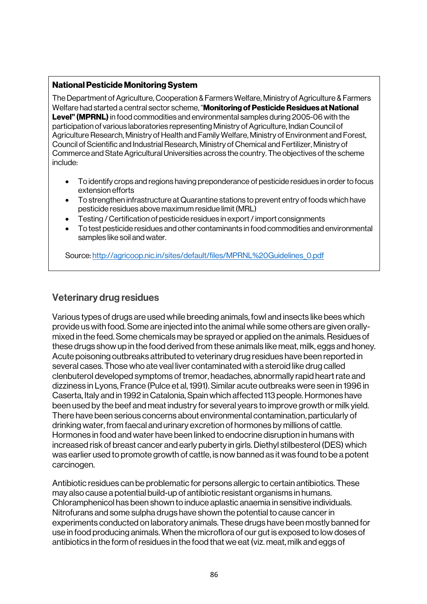#### National Pesticide Monitoring System

The Department of Agriculture, Cooperation & Farmers Welfare, Ministry of Agriculture & Farmers Welfare had started a central sector scheme, "**Monitoring of Pesticide Residues at National Level" (MPRNL)** in food commodities and environmental samples during 2005-06 with the participation of various laboratories representing Ministry of Agriculture, Indian Council of Agriculture Research, Ministry of Health and Family Welfare, Ministry of Environment and Forest, Council of Scientific and Industrial Research, Ministry of Chemical and Fertilizer, Ministry of Commerce and State Agricultural Universities across the country. The objectives of the scheme include:

- To identify crops and regions having preponderance of pesticide residues in order to focus extension efforts
- To strengthen infrastructure at Quarantine stations to prevent entry of foods which have pesticide residues above maximum residue limit (MRL)
- Testing / Certification of pesticide residues in export / import consignments
- To test pesticide residues and other contaminants in food commodities and environmental samples like soil and water.

Source: http://agricoop.nic.in/sites/default/files/MPRNL%20Guidelines\_0.pdf

# Veterinary drug residues

Various types of drugs are used while breeding animals, fowl and insects like bees which provide us with food. Some are injected into the animal while some others are given orallymixed in the feed. Some chemicals may be sprayed or applied on the animals. Residues of these drugs show up in the food derived from these animals like meat, milk, eggs and honey. Acute poisoning outbreaks attributed to veterinary drug residues have been reported in several cases. Those who ate veal liver contaminated with a steroid like drug called clenbuterol developed symptoms of tremor, headaches, abnormally rapid heart rate and dizziness in Lyons, France (Pulce et al, 1991). Similar acute outbreaks were seen in 1996 in Caserta, Italy and in 1992 in Catalonia, Spain which affected 113 people. Hormones have been used by the beef and meat industry for several years to improve growth or milk yield. There have been serious concerns about environmental contamination, particularly of drinking water, from faecal and urinary excretion of hormones by millions of cattle. Hormones in food and water have been linked to endocrine disruption in humans with increased risk of breast cancer and early puberty in girls. Diethyl stilbesterol (DES) which was earlier used to promote growth of cattle, is now banned as it was found to be a potent carcinogen.

Antibiotic residues can be problematic for persons allergic to certain antibiotics. These may also cause a potential build-up of antibiotic resistant organisms in humans. Chloramphenicol has been shown to induce aplastic anaemia in sensitive individuals. Nitrofurans and some sulpha drugs have shown the potential to cause cancer in experiments conducted on laboratory animals. These drugs have been mostly banned for use in food producing animals. When the microflora of our gut is exposed to low doses of antibiotics in the form of residues in the food that we eat (viz. meat, milk and eggs of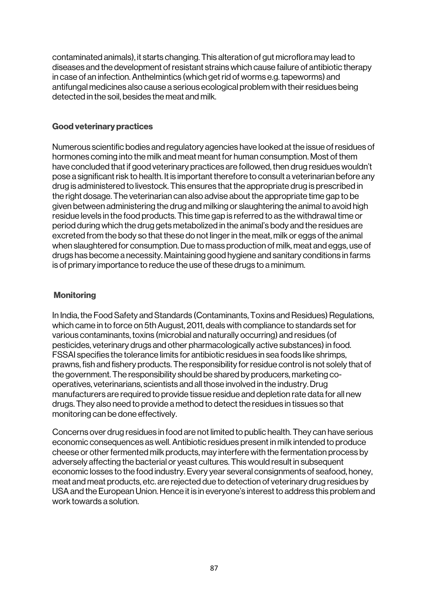contaminated animals), it starts changing. This alteration of gut microflora may lead to diseases and the development of resistant strains which cause failure of antibiotic therapy in case of an infection. Anthelmintics (which get rid of worms e.g. tapeworms) and antifungal medicines also cause a serious ecological problem with their residues being detected in the soil, besides the meat and milk.

#### Good veterinary practices

Numerous scientific bodies and regulatory agencies have looked at the issue of residues of hormones coming into the milk and meat meant for human consumption. Most of them have concluded that if good veterinary practices are followed, then drug residues wouldn't pose a significant risk to health. It is important therefore to consult a veterinarian before any drug is administered to livestock. This ensures that the appropriate drug is prescribed in the right dosage. The veterinarian can also advise about the appropriate time gap to be given between administering the drug and milking or slaughtering the animal to avoid high residue levels in the food products. This time gap is referred to as the withdrawal time or period during which the drug gets metabolized in the animal's body and the residues are excreted from the body so that these do not linger in the meat, milk or eggs of the animal when slaughtered for consumption. Due to mass production of milk, meat and eggs, use of drugs has become a necessity. Maintaining good hygiene and sanitary conditions in farms is of primary importance to reduce the use of these drugs to a minimum.

### **Monitoring**

In India, the Food Safety and Standards (Contaminants, Toxins and Residues) Regulations, which came in to force on 5th August, 2011, deals with compliance to standards set for various contaminants, toxins (microbial and naturally occurring) and residues (of pesticides, veterinary drugs and other pharmacologically active substances) in food. FSSAI specifies the tolerance limits for antibiotic residues in sea foods like shrimps, prawns, fish and fishery products. The responsibility for residue control is not solely that of the government. The responsibility should be shared by producers, marketing cooperatives, veterinarians, scientists and all those involved in the industry. Drug manufacturers are required to provide tissue residue and depletion rate data for all new drugs. They also need to provide a method to detect the residues in tissues so that monitoring can be done effectively.

Concerns over drug residues in food are not limited to public health. They can have serious economic consequences as well. Antibiotic residues present in milk intended to produce cheese or other fermented milk products, may interfere with the fermentation process by adversely affecting the bacterial or yeast cultures. This would result in subsequent economic losses to the food industry. Every year several consignments of seafood, honey, meat and meat products, etc. are rejected due to detection of veterinary drug residues by USA and the European Union. Hence it is in everyone's interest to address this problem and work towards a solution.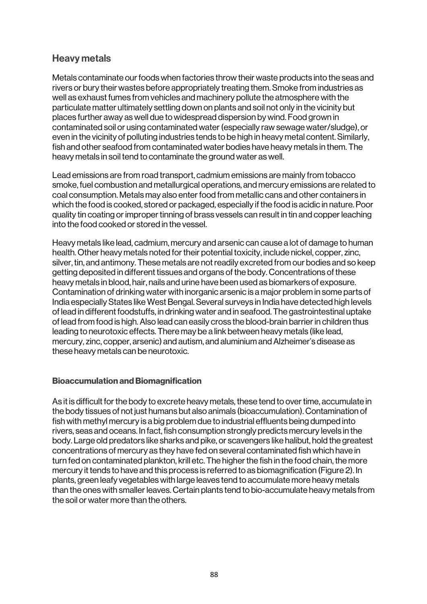# Heavy metals

Metals contaminate our foods when factories throw their waste products into the seas and rivers or bury their wastes before appropriately treating them. Smoke from industries as well as exhaust fumes from vehicles and machinery pollute the atmosphere with the particulate matter ultimately settling down on plants and soil not only in the vicinity but places further away as well due to widespread dispersion by wind. Food grown in contaminated soil or using contaminated water (especially raw sewage water/sludge), or even in the vicinity of polluting industries tends to be high in heavy metal content. Similarly, fish and other seafood from contaminated water bodies have heavy metals in them. The heavy metals in soil tend to contaminate the ground water as well.

Lead emissions are from road transport, cadmium emissions are mainly from tobacco smoke, fuel combustion and metallurgical operations, and mercury emissions are related to coal consumption. Metals may also enter food from metallic cans and other containers in which the food is cooked, stored or packaged, especially if the food is acidic in nature. Poor quality tin coating or improper tinning of brass vessels can result in tin and copper leaching into the food cooked or stored in the vessel.

Heavy metals like lead, cadmium, mercury and arsenic can cause a lot of damage to human health. Other heavy metals noted for their potential toxicity, include nickel, copper, zinc, silver, tin, and antimony. These metals are not readily excreted from our bodies and so keep getting deposited in different tissues and organs of the body. Concentrations of these heavy metals in blood, hair, nails and urine have been used as biomarkers of exposure. Contamination of drinking water with inorganic arsenic is a major problem in some parts of India especially States like West Bengal. Several surveys in India have detected high levels of lead in different foodstuffs, in drinking water and in seafood. The gastrointestinal uptake of lead from food is high. Also lead can easily cross the blood-brain barrier in children thus leading to neurotoxic effects. There may be a link between heavy metals (like lead, mercury, zinc, copper, arsenic) and autism, and aluminium and Alzheimer's disease as these heavy metals can be neurotoxic.

#### Bioaccumulation and Biomagnification

As it is difficult for the body to excrete heavy metals, these tend to over time, accumulate in the body tissues of not just humans but also animals (bioaccumulation). Contamination of fish with methyl mercury is a big problem due to industrial effluents being dumped into rivers, seas and oceans. In fact, fish consumption strongly predicts mercury levels in the body. Large old predators like sharks and pike, or scavengers like halibut, hold the greatest concentrations of mercury as they have fed on several contaminated fish which have in turn fed on contaminated plankton, krill etc. The higher the fish in the food chain, the more mercury it tends to have and this process is referred to as biomagnification (Figure 2). In plants, green leafy vegetables with large leaves tend to accumulate more heavy metals than the ones with smaller leaves. Certain plants tend to bio-accumulate heavy metals from the soil or water more than the others.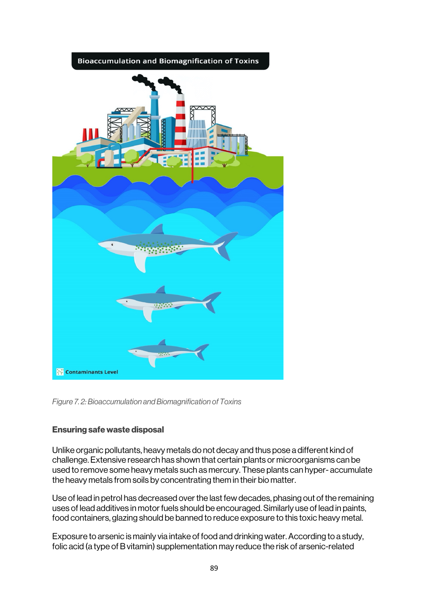

*Figure 7. 2: Bioaccumulation and Biomagnification of Toxins*

# Ensuring safe waste disposal

Unlike organic pollutants, heavy metals do not decay and thus pose a different kind of challenge. Extensive research has shown that certain plants or microorganisms can be used to remove some heavy metals such as mercury. These plants can hyper- accumulate the heavy metals from soils by concentrating them in their bio matter.

Use of lead in petrol has decreased over the last few decades, phasing out of the remaining uses of lead additives in motor fuels should be encouraged. Similarly use of lead in paints, food containers, glazing should be banned to reduce exposure to this toxic heavy metal.

Exposure to arsenic is mainly via intake of food and drinking water. According to a study, folic acid (a type of B vitamin) supplementation may reduce the risk of arsenic-related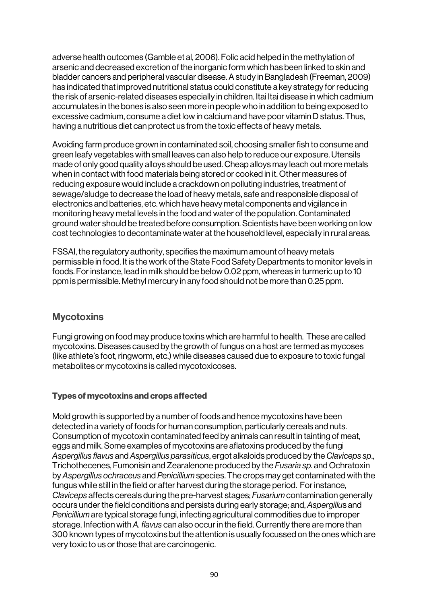adverse health outcomes (Gamble et al, 2006). Folic acid helped in the methylation of arsenic and decreased excretion of the inorganic form which has been linked to skin and bladder cancers and peripheral vascular disease. A study in Bangladesh (Freeman, 2009) has indicated that improved nutritional status could constitute a key strategy for reducing the risk of arsenic-related diseases especially in children. Itai Itai disease in which cadmium accumulates in the bones is also seen more in people who in addition to being exposed to excessive cadmium, consume a diet low in calcium and have poor vitamin D status. Thus, having a nutritious diet can protect us from the toxic effects of heavy metals.

Avoiding farm produce grown in contaminated soil, choosing smaller fish to consume and green leafy vegetables with small leaves can also help to reduce our exposure. Utensils made of only good quality alloys should be used. Cheap alloys may leach out more metals when in contact with food materials being stored or cooked in it. Other measures of reducing exposure would include a crackdown on polluting industries, treatment of sewage/sludge to decrease the load of heavy metals, safe and responsible disposal of electronics and batteries, etc. which have heavy metal components and vigilance in monitoring heavy metal levels in the food and water of the population. Contaminated ground water should be treated before consumption. Scientists have been working on low cost technologies to decontaminate water at the household level, especially in rural areas.

FSSAI, the regulatory authority, specifies the maximum amount of heavy metals permissible in food. It is the work of the State Food Safety Departments to monitor levels in foods. For instance, lead in milk should be below 0.02 ppm, whereas in turmeric up to 10 ppm is permissible. Methyl mercury in any food should not be more than 0.25 ppm.

# **Mycotoxins**

Fungi growing on food may produce toxins which are harmful to health. These are called mycotoxins. Diseases caused by the growth of fungus on a host are termed as mycoses (like athlete's foot, ringworm, etc.) while diseases caused due to exposure to toxic fungal metabolites or mycotoxins is called mycotoxicoses.

# Types of mycotoxins and crops affected

Mold growth is supported by a number of foods and hence mycotoxins have been detected in a variety of foods for human consumption, particularly cereals and nuts. Consumption of mycotoxin contaminated feed by animals can result in tainting of meat, eggs and milk. Some examples of mycotoxins are aflatoxins produced by the fungi *Aspergillus flavus* and *Aspergillus parasiticus*, ergot alkaloids produced by the *Claviceps sp*., Trichothecenes, Fumonisin and Zearalenone produced by the *Fusaria sp.* and Ochratoxin by *Aspergillus ochraceus* and *Penicillium* species. The crops may get contaminated with the fungus while still in the field or after harvest during the storage period. For instance, *Claviceps* affects cereals during the pre-harvest stages; *Fusarium* contamination generally occurs under the field conditions and persists during early storage; and, *Aspergillu*s and *Penicillium* are typical storage fungi, infecting agricultural commodities due to improper storage. Infection with *A. flavus* can also occur in the field. Currently there are more than 300 known types of mycotoxins but the attention is usually focussed on the ones which are very toxic to us or those that are carcinogenic.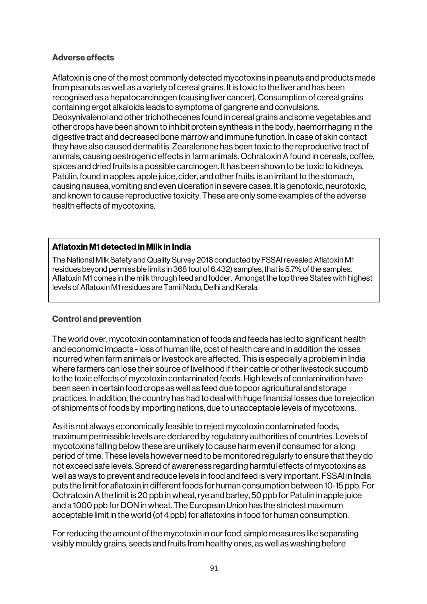### Adverse effects

Aflatoxin is one of the most commonly detected mycotoxins in peanuts and products made from peanuts as well as a variety of cereal grains. It is toxic to the liver and has been recognised as a hepatocarcinogen (causing liver cancer). Consumption of cereal grains containing ergot alkaloids leads to symptoms of gangrene and convulsions. Deoxynivalenol and other trichothecenes found in cereal grains and some vegetables and other crops have been shown to inhibit protein synthesis in the body, haemorrhaging in the digestive tract and decreased bone marrow and immune function. In case of skin contact they have also caused dermatitis. Zearalenone has been toxic to the reproductive tract of animals, causing oestrogenic effects in farm animals. Ochratoxin A found in cereals, coffee, spices and dried fruits is a possible carcinogen. It has been shown to be toxic to kidneys. Patulin, found in apples, apple juice, cider, and other fruits, is an irritant to the stomach, causing nausea, vomiting and even ulceration in severe cases. It is genotoxic, neurotoxic, and known to cause reproductive toxicity. These are only some examples of the adverse health effects of mycotoxins.

#### Aflatoxin M1 detected in Milk in India

The National Milk Safety and Quality Survey 2018 conducted by FSSAI revealed Aflatoxin M1 residues beyond permissible limits in 368 (out of 6,432) samples, that is 5.7% of the samples. Aflatoxin M1 comes in the milk through feed and fodder. Amongst the top three States with highest levels of Aflatoxin M1 residues are Tamil Nadu, Delhi and Kerala.

#### Control and prevention

The world over, mycotoxin contamination of foods and feeds has led to significant health and economic impacts - loss of human life, cost of health care and in addition the losses incurred when farm animals or livestock are affected. This is especially a problem in India where farmers can lose their source of livelihood if their cattle or other livestock succumb to the toxic effects of mycotoxin contaminated feeds. High levels of contamination have been seen in certain food crops as well as feed due to poor agricultural and storage practices. In addition, the country has had to deal with huge financial losses due to rejection of shipments of foods by importing nations, due to unacceptable levels of mycotoxins.

As it is not always economically feasible to reject mycotoxin contaminated foods, maximum permissible levels are declared by regulatory authorities of countries. Levels of mycotoxins falling below these are unlikely to cause harm even if consumed for a long period of time. These levels however need to be monitored regularly to ensure that they do not exceed safe levels. Spread of awareness regarding harmful effects of mycotoxins as well as ways to prevent and reduce levels in food and feed is very important. FSSAI in India puts the limit for aflatoxin in different foods for human consumption between 10-15 ppb. For Ochratoxin A the limit is 20 ppb in wheat, rye and barley, 50 ppb for Patulin in apple juice and a 1000 ppb for DON in wheat. The European Union has the strictest maximum acceptable limit in the world (of 4 ppb) for aflatoxins in food for human consumption.

For reducing the amount of the mycotoxin in our food, simple measures like separating visibly mouldy grains, seeds and fruits from healthy ones, as well as washing before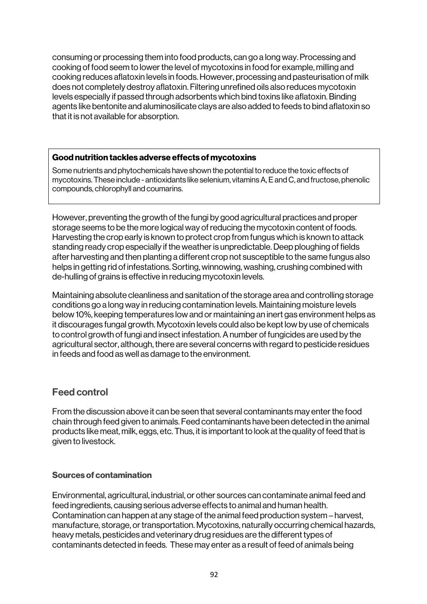consuming or processing them into food products, can go a long way. Processing and cooking of food seem to lower the level of mycotoxins in food for example, milling and cooking reduces aflatoxin levels in foods. However, processing and pasteurisation of milk does not completely destroy aflatoxin. Filtering unrefined oils also reduces mycotoxin levels especially if passed through adsorbents which bind toxins like aflatoxin. Binding agents like bentonite and aluminosilicate clays are also added to feeds to bind aflatoxin so that it is not available for absorption.

#### Good nutrition tackles adverse effects of mycotoxins

Some nutrients and phytochemicals have shown the potential to reduce the toxic effects of mycotoxins. These include - antioxidants like selenium, vitamins A, E and C, and fructose, phenolic compounds, chlorophyll and coumarins.

However, preventing the growth of the fungi by good agricultural practices and proper storage seems to be the more logical way of reducing the mycotoxin content of foods. Harvesting the crop early is known to protect crop from fungus which is known to attack standing ready crop especially if the weather is unpredictable. Deep ploughing of fields after harvesting and then planting a different crop not susceptible to the same fungus also helps in getting rid of infestations. Sorting, winnowing, washing, crushing combined with de-hulling of grains is effective in reducing mycotoxin levels.

Maintaining absolute cleanliness and sanitation of the storage area and controlling storage conditions go a long way in reducing contamination levels. Maintaining moisture levels below 10%, keeping temperatures low and or maintaining an inert gas environment helps as it discourages fungal growth. Mycotoxin levels could also be kept low by use of chemicals to control growth of fungi and insect infestation. A number of fungicides are used by the agricultural sector, although, there are several concerns with regard to pesticide residues in feeds and food as well as damage to the environment.

# Feed control

From the discussion above it can be seen that several contaminants may enter the food chain through feed given to animals. Feed contaminants have been detected in the animal products like meat, milk, eggs, etc. Thus, it is important to look at the quality of feed that is given to livestock.

# Sources of contamination

Environmental, agricultural, industrial, or other sources can contaminate animal feed and feed ingredients, causing serious adverse effects to animal and human health. Contamination can happen at any stage of the animal feed production system – harvest, manufacture, storage, or transportation. Mycotoxins, naturally occurring chemical hazards, heavy metals, pesticides and veterinary drug residues are the different types of contaminants detected in feeds. These may enter as a result of feed of animals being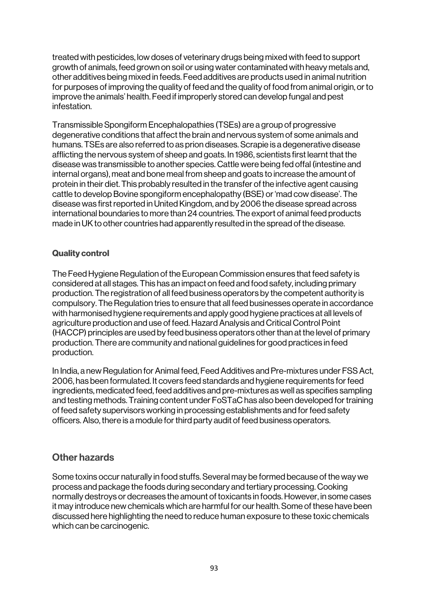treated with pesticides, low doses of veterinary drugs being mixed with feed to support growth of animals, feed grown on soil or using water contaminated with heavy metals and, other additives being mixed in feeds. Feed additives are products used in animal nutrition for purposes of improving the quality of feed and the quality of food from animal origin, or to improve the animals' health. Feed if improperly stored can develop fungal and pest infestation.

Transmissible Spongiform Encephalopathies (TSEs) are a group of progressive degenerative conditions that affect the brain and nervous system of some animals and humans. TSEs are also referred to as prion diseases. Scrapie is a degenerative disease afflicting the nervous system of sheep and goats. In 1986, scientists first learnt that the disease was transmissible to another species. Cattle were being fed offal (intestine and internal organs), meat and bone meal from sheep and goats to increase the amount of protein in their diet. This probably resulted in the transfer of the infective agent causing cattle to develop Bovine spongiform encephalopathy (BSE) or 'mad cow disease'. The disease was first reported in United Kingdom, and by 2006 the disease spread across international boundaries to more than 24 countries. The export of animal feed products made in UK to other countries had apparently resulted in the spread of the disease.

### Quality control

The Feed Hygiene Regulation of the European Commission ensures that feed safety is considered at all stages. This has an impact on feed and food safety, including primary production. The registration of all feed business operators by the competent authority is compulsory. The Regulation tries to ensure that all feed businesses operate in accordance with harmonised hygiene requirements and apply good hygiene practices at all levels of agriculture production and use of feed. Hazard Analysis and Critical Control Point (HACCP) principles are used by feed business operators other than at the level of primary production. There are community and national guidelines for good practices in feed production.

In India, a new Regulation for Animal feed, Feed Additives and Pre-mixtures under FSS Act, 2006, has been formulated. It covers feed standards and hygiene requirements for feed ingredients, medicated feed, feed additives and pre-mixtures as well as specifies sampling and testing methods. Training content under FoSTaC has also been developed for training of feed safety supervisors working in processing establishments and for feed safety officers. Also, there is a module for third party audit of feed business operators.

# Other hazards

Some toxins occur naturally in food stuffs. Several may be formed because of the way we process and package the foods during secondary and tertiary processing. Cooking normally destroys or decreases the amount of toxicants in foods. However, in some cases it may introduce new chemicals which are harmful for our health. Some of these have been discussed here highlighting the need to reduce human exposure to these toxic chemicals which can be carcinogenic.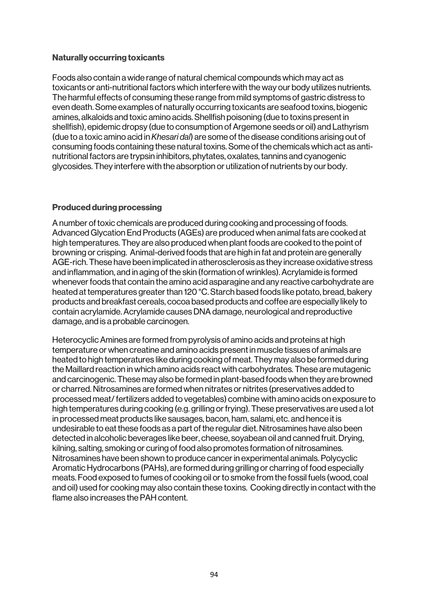#### Naturally occurring toxicants

Foods also contain a wide range of natural chemical compounds which may act as toxicants or anti-nutritional factors which interfere with the way our body utilizes nutrients. The harmful effects of consuming these range from mild symptoms of gastric distress to even death. Some examples of naturally occurring toxicants are seafood toxins, biogenic amines, alkaloids and toxic amino acids. Shellfish poisoning (due to toxins present in shellfish), epidemic dropsy (due to consumption of Argemone seeds or oil) and Lathyrism (due to a toxic amino acid in *Khesari dal*) are some of the disease conditions arising out of consuming foods containing these natural toxins. Some of the chemicals which act as antinutritional factors are trypsin inhibitors, phytates, oxalates, tannins and cyanogenic glycosides. They interfere with the absorption or utilization of nutrients by our body.

# Produced during processing

A number of toxic chemicals are produced during cooking and processing of foods. Advanced Glycation End Products (AGEs) are produced when animal fats are cooked at high temperatures. They are also produced when plant foods are cooked to the point of browning or crisping. Animal-derived foods that are high in fat and protein are generally AGE-rich. These have been implicated in atherosclerosis as they increase oxidative stress and inflammation, and in aging of the skin (formation of wrinkles). Acrylamide is formed whenever foods that contain the amino acid asparagine and any reactive carbohydrate are heated at temperatures greater than 120 °C. Starch based foods like potato, bread, bakery products and breakfast cereals, cocoa based products and coffee are especially likely to contain acrylamide. Acrylamide causes DNA damage, neurological and reproductive damage, and is a probable carcinogen.

Heterocyclic Amines are formed from pyrolysis of amino acids and proteins at high temperature or when creatine and amino acids present in muscle tissues of animals are heated to high temperatures like during cooking of meat. They may also be formed during the Maillard reaction in which amino acids react with carbohydrates. These are mutagenic and carcinogenic. These may also be formed in plant-based foods when they are browned or charred. Nitrosamines are formed when nitrates or nitrites (preservatives added to processed meat/ fertilizers added to vegetables) combine with amino acids on exposure to high temperatures during cooking (e.g. grilling or frying). These preservatives are used a lot in processed meat products like sausages, bacon, ham, salami, etc. and hence it is undesirable to eat these foods as a part of the regular diet. Nitrosamines have also been detected in alcoholic beverages like beer, cheese, soyabean oil and canned fruit. Drying, kilning, salting, smoking or curing of food also promotes formation of nitrosamines. Nitrosamines have been shown to produce cancer in experimental animals. Polycyclic Aromatic Hydrocarbons (PAHs), are formed during grilling or charring of food especially meats. Food exposed to fumes of cooking oil or to smoke from the fossil fuels (wood, coal and oil) used for cooking may also contain these toxins. Cooking directly in contact with the flame also increases the PAH content.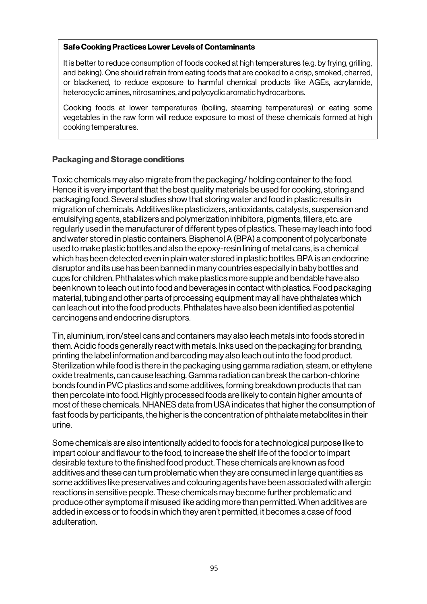#### Safe Cooking Practices Lower Levels of Contaminants

It is better to reduce consumption of foods cooked at high temperatures (e.g. by frying, grilling, and baking). One should refrain from eating foods that are cooked to a crisp, smoked, charred, or blackened, to reduce exposure to harmful chemical products like AGEs, acrylamide, heterocyclic amines, nitrosamines, and polycyclic aromatic hydrocarbons.

Cooking foods at lower temperatures (boiling, steaming temperatures) or eating some vegetables in the raw form will reduce exposure to most of these chemicals formed at high cooking temperatures.

### Packaging and Storage conditions

Toxic chemicals may also migrate from the packaging/ holding container to the food. Hence it is very important that the best quality materials be used for cooking, storing and packaging food. Several studies show that storing water and food in plastic results in migration of chemicals. Additives like plasticizers, antioxidants, catalysts, suspension and emulsifying agents, stabilizers and polymerization inhibitors, pigments, fillers, etc. are regularly used in the manufacturer of different types of plastics. These may leach into food and water stored in plastic containers. Bisphenol A (BPA) a component of polycarbonate used to make plastic bottles and also the epoxy-resin lining of metal cans, is a chemical which has been detected even in plain water stored in plastic bottles. BPA is an endocrine disruptor and its use has been banned in many countries especially in baby bottles and cups for children. Phthalates which make plastics more supple and bendable have also been known to leach out into food and beverages in contact with plastics. Food packaging material, tubing and other parts of processing equipment may all have phthalates which can leach out into the food products. Phthalates have also been identified as potential carcinogens and endocrine disruptors.

Tin, aluminium, iron/steel cans and containers may also leach metals into foods stored in them. Acidic foods generally react with metals. Inks used on the packaging for branding, printing the label information and barcoding may also leach out into the food product. Sterilization while food is there in the packaging using gamma radiation, steam, or ethylene oxide treatments, can cause leaching. Gamma radiation can break the carbon-chlorine bonds found in PVC plastics and some additives, forming breakdown products that can then percolate into food. Highly processed foods are likely to contain higher amounts of most of these chemicals. NHANES data from USA indicates that higher the consumption of fast foods by participants, the higher is the concentration of phthalate metabolites in their urine.

Some chemicals are also intentionally added to foods for a technological purpose like to impart colour and flavour to the food, to increase the shelf life of the food or to impart desirable texture to the finished food product. These chemicals are known as food additives and these can turn problematic when they are consumed in large quantities as some additives like preservatives and colouring agents have been associated with allergic reactions in sensitive people. These chemicals may become further problematic and produce other symptoms if misused like adding more than permitted. When additives are added in excess or to foods in which they aren't permitted, it becomes a case of food adulteration.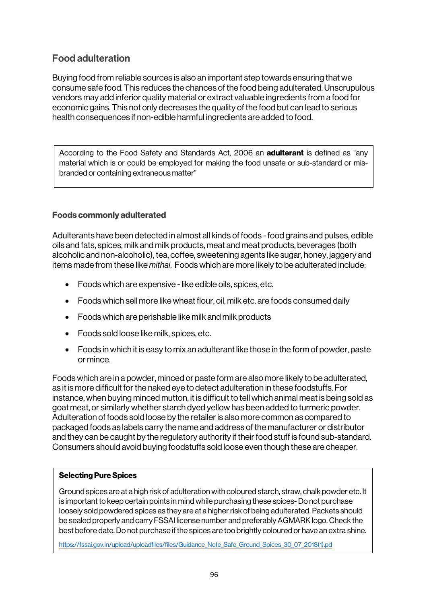# Food adulteration

Buying food from reliable sources is also an important step towards ensuring that we consume safe food. This reduces the chances of the food being adulterated. Unscrupulous vendors may add inferior quality material or extract valuable ingredients from a food for economic gains. This not only decreases the quality of the food but can lead to serious health consequences if non-edible harmful ingredients are added to food.

According to the Food Safety and Standards Act, 2006 an **adulterant** is defined as "any material which is or could be employed for making the food unsafe or sub-standard or misbranded or containing extraneous matter"

# Foods commonly adulterated

Adulterants have been detected in almost all kinds of foods -food grains and pulses, edible oils and fats, spices, milk and milk products, meat and meat products, beverages (both alcoholic and non-alcoholic), tea, coffee, sweetening agents like sugar, honey, jaggery and items made from these like *mithai*. Foods which are more likely to be adulterated include:

- $\bullet$  Foods which are expensive like edible oils, spices, etc.
- Foods which sell more like wheat flour, oil, milk etc. are foods consumed daily
- Foods which are perishable like milk and milk products
- Foods sold loose like milk, spices, etc.
- Foods in which it is easy to mix an adulterant like those in the form of powder, paste or mince.

Foods which are in a powder, minced or paste form are also more likely to be adulterated, as it is more difficult for the naked eye to detect adulteration in these foodstuffs. For instance, when buying minced mutton, it is difficult to tell which animal meat is being sold as goat meat, or similarly whether starch dyed yellow has been added to turmeric powder. Adulteration of foods sold loose by the retailer is also more common as compared to packaged foods as labels carry the name and address of the manufacturer or distributor and they can be caught by the regulatory authority if their food stuff is found sub-standard. Consumers should avoid buying foodstuffs sold loose even though these are cheaper.

# Selecting Pure Spices

Ground spices are at a high risk of adulteration with coloured starch, straw, chalk powder etc. It is important to keep certain points in mind while purchasing these spices-Do not purchase loosely sold powdered spices as they are at a higher risk of being adulterated. Packets should be sealed properly and carry FSSAI license number and preferably AGMARK logo. Check the best before date. Do not purchase if the spices are too brightly coloured or have an extra shine.

https://fssai.gov.in/upload/uploadfiles/files/Guidance\_Note\_Safe\_Ground\_Spices\_30\_07\_2018(1).pd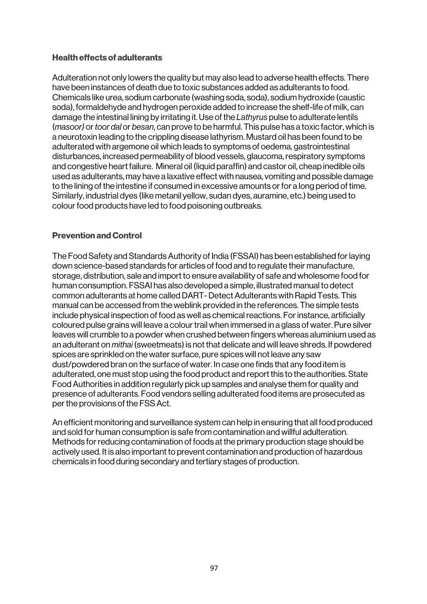### Health effects of adulterants

Adulteration not only lowers the quality but may also lead to adverse health effects. There have been instances of death due to toxic substances added as adulterants to food. Chemicals like urea, sodium carbonate (washing soda, soda), sodium hydroxide (caustic soda), formaldehyde and hydrogen peroxide added to increase the shelf-life of milk, can damage the intestinal lining by irritating it. Use of the *Lathyrus* pulse to adulterate lentils (*masoor)* or *toor dal* or *besan*, can prove to be harmful. This pulse has a toxic factor, which is a neurotoxin leading to the crippling disease lathyrism. Mustard oil has been found to be adulterated with argemone oil which leads to symptoms of oedema, gastrointestinal disturbances, increased permeability of blood vessels, glaucoma, respiratory symptoms and congestive heart failure. Mineral oil (liquid paraffin) and castor oil, cheap inedible oils used as adulterants, may have a laxative effect with nausea, vomiting and possible damage to the lining of the intestine if consumed in excessive amounts or for a long period of time. Similarly, industrial dyes (like metanil yellow, sudan dyes, auramine, etc.) being used to colour food products have led to food poisoning outbreaks.

# Prevention and Control

The Food Safety and Standards Authority of India (FSSAI) has been established for laying down science-based standards for articles of food and to regulate their manufacture, storage, distribution, sale and import to ensure availability of safe and wholesome food for human consumption. FSSAI has also developed a simple, illustrated manual to detect common adulterants at home called DART-Detect Adulterants with Rapid Tests. This manual can be accessed from the weblink provided in the references. The simple tests include physical inspection of food as well as chemical reactions. For instance, artificially coloured pulse grains will leave a colour trail when immersed in a glass of water. Pure silver leaves will crumble to a powder when crushed between fingers whereas aluminium used as an adulterant on *mithai* (sweetmeats) is not that delicate and will leave shreds. If powdered spices are sprinkled on the water surface, pure spices will not leave any saw dust/powdered bran on the surface of water. In case one finds that any food item is adulterated, one must stop using the food product and report this to the authorities. State Food Authorities in addition regularly pick up samples and analyse them for quality and presence of adulterants. Food vendors selling adulterated food items are prosecuted as per the provisions of the FSS Act.

An efficient monitoring and surveillance system can help in ensuring that all food produced and sold for human consumption is safe from contamination and willful adulteration. Methods for reducing contamination of foods at the primary production stage should be actively used. It is also important to prevent contamination and production of hazardous chemicals in food during secondary and tertiary stages of production.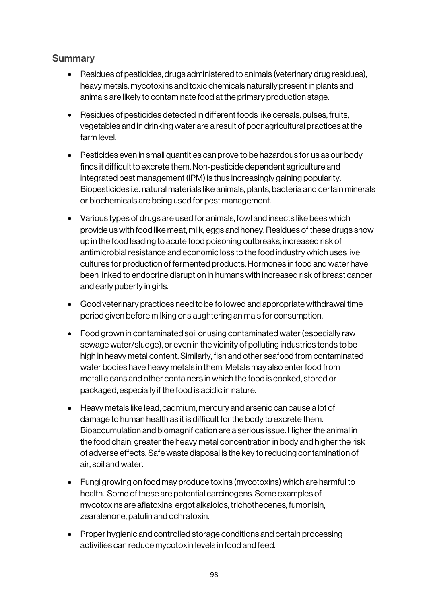# **Summary**

- Residues of pesticides, drugs administered to animals (veterinary drug residues), heavy metals, mycotoxins and toxic chemicals naturally present in plants and animals are likely to contaminate food at the primary production stage.
- Residues of pesticides detected in different foods like cereals, pulses, fruits, vegetables and in drinking water are a result of poor agricultural practices at the farm level.
- Pesticides even in small quantities can prove to be hazardous for us as our body finds it difficult to excrete them. Non-pesticide dependent agriculture and integrated pest management (IPM) is thus increasingly gaining popularity. Biopesticides i.e. natural materials like animals, plants, bacteria and certain minerals or biochemicals are being used for pest management.
- Various types of drugs are used for animals, fowl and insects like bees which provide us with food like meat, milk, eggs and honey. Residues of these drugs show up in the food leading to acute food poisoning outbreaks, increased risk of antimicrobial resistance and economic loss to the food industry which uses live cultures for production of fermented products. Hormones in food and water have been linked to endocrine disruption in humans with increased risk of breast cancer and early puberty in girls.
- Good veterinary practices need to be followed and appropriate withdrawal time period given before milking or slaughtering animals for consumption.
- Food grown in contaminated soil or using contaminated water (especially raw sewage water/sludge), or even in the vicinity of polluting industries tends to be high in heavy metal content. Similarly, fish and other seafood from contaminated water bodies have heavy metals in them. Metals may also enter food from metallic cans and other containers in which the food is cooked, stored or packaged, especially if the food is acidic in nature.
- Heavy metals like lead, cadmium, mercury and arsenic can cause a lot of damage to human health as it is difficult for the body to excrete them. Bioaccumulation and biomagnification are a serious issue. Higher the animal in the food chain, greater the heavy metal concentration in body and higher the risk of adverse effects. Safe waste disposal is the key to reducing contamination of air, soil and water.
- Fungi growing on food may produce toxins (mycotoxins) which are harmful to health. Some of these are potential carcinogens. Some examples of mycotoxins are aflatoxins, ergot alkaloids, trichothecenes, fumonisin, zearalenone, patulin and ochratoxin.
- Proper hygienic and controlled storage conditions and certain processing activities can reduce mycotoxin levels in food and feed.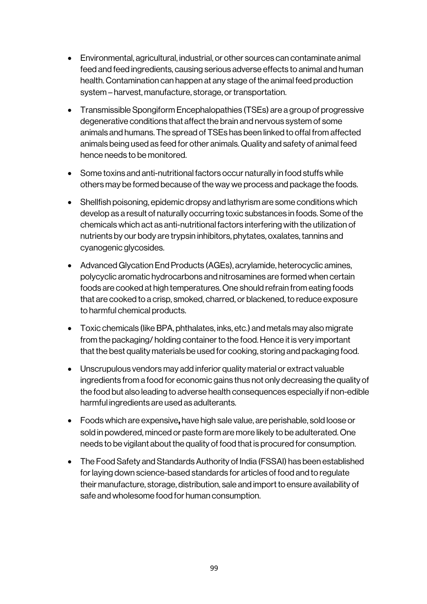- Environmental, agricultural, industrial, or other sources can contaminate animal feed and feed ingredients, causing serious adverse effects to animal and human health. Contamination can happen at any stage of the animal feed production system – harvest, manufacture, storage, or transportation.
- Transmissible Spongiform Encephalopathies (TSEs) are a group of progressive degenerative conditions that affect the brain and nervous system of some animals and humans. The spread of TSEs has been linked to offal from affected animals being used as feed for other animals. Quality and safety of animal feed hence needs to be monitored.
- Some toxins and anti-nutritional factors occur naturally in food stuffs while others may be formed because of the way we process and package the foods.
- Shellfish poisoning, epidemic dropsy and lathyrism are some conditions which develop as a result of naturally occurring toxic substances in foods. Some of the chemicals which act as anti-nutritional factors interfering with the utilization of nutrients by our body are trypsin inhibitors, phytates, oxalates, tannins and cyanogenic glycosides.
- Advanced Glycation End Products (AGEs), acrylamide, heterocyclic amines, polycyclic aromatic hydrocarbons and nitrosamines are formed when certain foods are cooked at high temperatures. One should refrain from eating foods that are cooked to a crisp, smoked, charred, or blackened, to reduce exposure to harmful chemical products.
- Toxic chemicals (like BPA, phthalates, inks, etc.) and metals may also migrate from the packaging/ holding container to the food. Hence it is very important that the best quality materials be used for cooking, storing and packaging food.
- Unscrupulous vendors may add inferior quality material or extract valuable ingredients from a food for economic gains thus not only decreasing the quality of the food but also leading to adverse health consequences especially if non-edible harmful ingredients are used as adulterants.
- Foods which are expensive, have high sale value, are perishable, sold loose or sold in powdered, minced or paste form are more likely to be adulterated. One needs to be vigilant about the quality of food that is procured for consumption.
- The Food Safety and Standards Authority of India (FSSAI) has been established for laying down science-based standards for articles of food and to regulate their manufacture, storage, distribution, sale and import to ensure availability of safe and wholesome food for human consumption.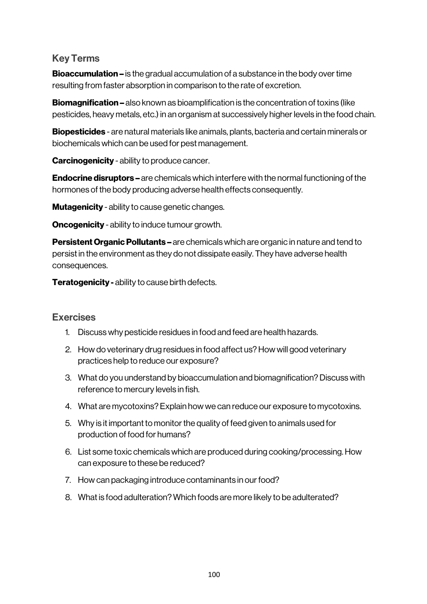# Key Terms

**Bioaccumulation –** is the gradual accumulation of a substance in the body over time resulting from faster absorption in comparison to the rate of excretion.

**Biomagnification –** also known as bioamplification is the concentration of toxins (like pesticides, heavy metals, etc.) in an organism at successively higher levels in the food chain.

Biopesticides - are natural materials like animals, plants, bacteria and certain minerals or biochemicals which can be used for pest management.

**Carcinogenicity - ability to produce cancer.** 

**Endocrine disruptors –** are chemicals which interfere with the normal functioning of the hormones of the body producing adverse health effects consequently.

**Mutagenicity** - ability to cause genetic changes.

**Oncogenicity** - ability to induce tumour growth.

**Persistent Organic Pollutants –** are chemicals which are organic in nature and tend to persist in the environment as they do not dissipate easily. They have adverse health consequences.

**Teratogenicity - ability to cause birth defects.** 

# **Exercises**

- 1. Discuss why pesticide residues in food and feed are health hazards.
- 2. How do veterinary drug residues in food affect us? How will good veterinary practices help to reduce our exposure?
- 3. What do you understand by bioaccumulation and biomagnification? Discuss with reference to mercury levels in fish.
- 4. What are mycotoxins? Explain how we can reduce our exposure to mycotoxins.
- 5. Why is it important to monitor the quality of feed given to animals used for production of food for humans?
- 6. List some toxic chemicals which are produced during cooking/processing. How can exposure to these be reduced?
- 7. How can packaging introduce contaminants in our food?
- 8. What is food adulteration? Which foods are more likely to be adulterated?